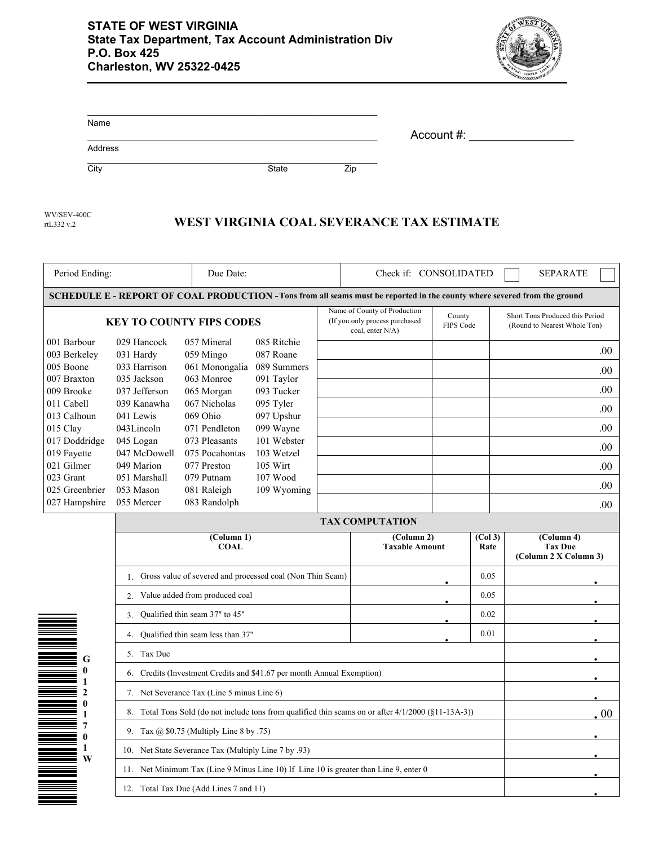

| Name    |       |     |            |
|---------|-------|-----|------------|
| Address |       |     | Account #: |
| City    | State | Zip |            |

rtL332 v.2 WV/SEV-400C

## **WEST VIRGINIA COAL SEVERANCE TAX ESTIMATE**

| Period Ending:                                                                                                                    |                                                                                       | Due Date:<br>Check if: CONSOLIDATED        |                                                                                                           |                                     | <b>SEPARATE</b>                                                                                                           |                                                                 |                                                       |  |                         |
|-----------------------------------------------------------------------------------------------------------------------------------|---------------------------------------------------------------------------------------|--------------------------------------------|-----------------------------------------------------------------------------------------------------------|-------------------------------------|---------------------------------------------------------------------------------------------------------------------------|-----------------------------------------------------------------|-------------------------------------------------------|--|-------------------------|
|                                                                                                                                   |                                                                                       |                                            |                                                                                                           |                                     | SCHEDULE E - REPORT OF COAL PRODUCTION - Tons from all seams must be reported in the county where severed from the ground |                                                                 |                                                       |  |                         |
| <b>KEY TO COUNTY FIPS CODES</b>                                                                                                   |                                                                                       |                                            | Name of County of Production<br>County<br>(If you only process purchased<br>FIPS Code<br>coal, enter N/A) |                                     |                                                                                                                           | Short Tons Produced this Period<br>(Round to Nearest Whole Ton) |                                                       |  |                         |
| 029 Hancock<br>001 Barbour<br>003 Berkeley<br>031 Hardy                                                                           |                                                                                       | 057 Mineral<br>059 Mingo                   | 085 Ritchie<br>087 Roane                                                                                  |                                     |                                                                                                                           |                                                                 |                                                       |  | .00                     |
| 005 Boone                                                                                                                         | 033 Harrison                                                                          |                                            | 061 Monongalia 089 Summers                                                                                |                                     |                                                                                                                           |                                                                 |                                                       |  | .00.                    |
| 007 Braxton                                                                                                                       | 035 Jackson                                                                           | 063 Monroe                                 | 091 Taylor                                                                                                |                                     |                                                                                                                           |                                                                 |                                                       |  |                         |
| 009 Brooke                                                                                                                        | 037 Jefferson                                                                         | 065 Morgan                                 | 093 Tucker                                                                                                |                                     |                                                                                                                           |                                                                 |                                                       |  | .00.                    |
| 011 Cabell<br>013 Calhoun                                                                                                         | 039 Kanawha<br>041 Lewis                                                              | 067 Nicholas<br>069 Ohio                   | 095 Tyler<br>097 Upshur                                                                                   |                                     |                                                                                                                           |                                                                 |                                                       |  | .00                     |
| 015 Clay                                                                                                                          | 043Lincoln                                                                            | 071 Pendleton                              | 099 Wayne                                                                                                 |                                     |                                                                                                                           |                                                                 |                                                       |  | .00.                    |
| 017 Doddridge                                                                                                                     | 045 Logan                                                                             | 073 Pleasants                              | 101 Webster                                                                                               |                                     |                                                                                                                           |                                                                 |                                                       |  |                         |
| 019 Fayette                                                                                                                       | 047 McDowell                                                                          | 075 Pocahontas                             | 103 Wetzel                                                                                                |                                     |                                                                                                                           |                                                                 |                                                       |  | .00.                    |
| 021 Gilmer                                                                                                                        | 049 Marion                                                                            | 077 Preston                                | 105 Wirt                                                                                                  |                                     |                                                                                                                           |                                                                 |                                                       |  | .00                     |
| 023 Grant                                                                                                                         | 051 Marshall                                                                          | 079 Putnam                                 | 107 Wood                                                                                                  |                                     |                                                                                                                           |                                                                 |                                                       |  | .00.                    |
| 025 Greenbrier                                                                                                                    | 053 Mason                                                                             | 081 Raleigh                                | 109 Wyoming                                                                                               |                                     |                                                                                                                           |                                                                 |                                                       |  |                         |
| 027 Hampshire                                                                                                                     | 055 Mercer                                                                            | 083 Randolph                               |                                                                                                           |                                     |                                                                                                                           |                                                                 |                                                       |  | .00.                    |
|                                                                                                                                   |                                                                                       |                                            |                                                                                                           |                                     | <b>TAX COMPUTATION</b>                                                                                                    |                                                                 |                                                       |  |                         |
|                                                                                                                                   | (Column 1)<br><b>COAL</b>                                                             |                                            |                                                                                                           | (Column 2)<br><b>Taxable Amount</b> |                                                                                                                           | (Col <sub>3</sub> )<br>Rate                                     | (Column 4)<br><b>Tax Due</b><br>(Column 2 X Column 3) |  |                         |
|                                                                                                                                   | Gross value of severed and processed coal (Non Thin Seam)<br>1.                       |                                            |                                                                                                           |                                     |                                                                                                                           | 0.05                                                            |                                                       |  |                         |
|                                                                                                                                   | Value added from produced coal<br>2.                                                  |                                            |                                                                                                           |                                     |                                                                                                                           | 0.05                                                            |                                                       |  |                         |
|                                                                                                                                   | Qualified thin seam 37" to 45"<br>3.                                                  |                                            |                                                                                                           |                                     | 0.02                                                                                                                      |                                                                 |                                                       |  |                         |
|                                                                                                                                   | Qualified thin seam less than 37"<br>4.                                               |                                            |                                                                                                           |                                     |                                                                                                                           | 0.01                                                            |                                                       |  |                         |
| G                                                                                                                                 | 5. Tax Due                                                                            |                                            |                                                                                                           |                                     |                                                                                                                           |                                                                 |                                                       |  |                         |
| $\bf{0}$<br>6. Credits (Investment Credits and \$41.67 per month Annual Exemption)<br>1                                           |                                                                                       |                                            |                                                                                                           |                                     |                                                                                                                           |                                                                 |                                                       |  |                         |
| $\mathbf{2}$                                                                                                                      |                                                                                       | 7. Net Severance Tax (Line 5 minus Line 6) |                                                                                                           |                                     |                                                                                                                           |                                                                 |                                                       |  |                         |
| $\bf{0}$<br>8. Total Tons Sold (do not include tons from qualified thin seams on or after $4/1/2000$ (§11-13A-3))<br>$\mathbf{1}$ |                                                                                       |                                            |                                                                                                           |                                     |                                                                                                                           |                                                                 |                                                       |  | $\boldsymbol{\cdot} 00$ |
| 7<br>9. Tax @ $$0.75$ (Multiply Line 8 by .75)<br>$\mathbf{0}$                                                                    |                                                                                       |                                            |                                                                                                           |                                     |                                                                                                                           |                                                                 |                                                       |  |                         |
| 1<br>W                                                                                                                            | 10. Net State Severance Tax (Multiply Line 7 by .93)                                  |                                            |                                                                                                           |                                     |                                                                                                                           |                                                                 |                                                       |  |                         |
|                                                                                                                                   | 11. Net Minimum Tax (Line 9 Minus Line 10) If Line 10 is greater than Line 9, enter 0 |                                            |                                                                                                           |                                     |                                                                                                                           |                                                                 |                                                       |  |                         |
|                                                                                                                                   | 12. Total Tax Due (Add Lines 7 and 11)                                                |                                            |                                                                                                           |                                     |                                                                                                                           |                                                                 |                                                       |  |                         |